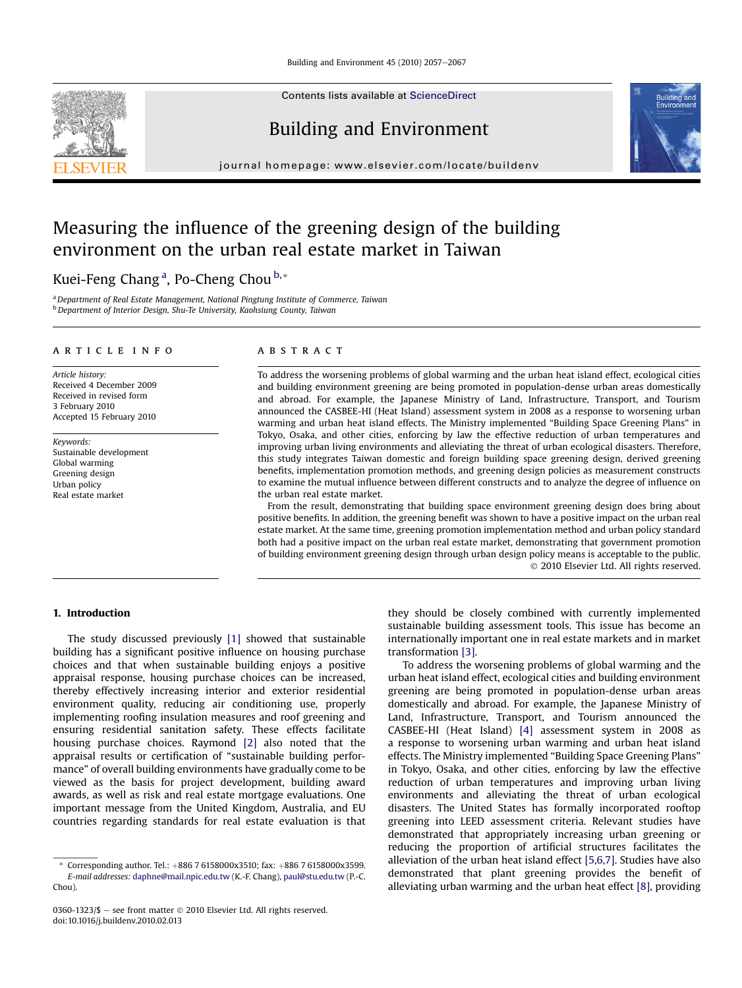Contents lists available at [ScienceDirect](www.sciencedirect.com/science/journal/03601323)

## Building and Environment

journal homepage: [www.elsevier.com/locate/buildenv](http://www.elsevier.com/locate/buildenv)

# Measuring the influence of the greening design of the building environment on the urban real estate market in Taiwan

### Kuei-Feng Chang<sup>a</sup>, Po-Cheng Chou<sup>b,</sup>\*

<sup>a</sup> Department of Real Estate Management, National Pingtung Institute of Commerce, Taiwan b Department of Interior Design, Shu-Te University, Kaohsiung County, Taiwan

#### article info

Article history: Received 4 December 2009 Received in revised form 3 February 2010 Accepted 15 February 2010

Keywords: Sustainable development Global warming Greening design Urban policy Real estate market

#### **ABSTRACT**

To address the worsening problems of global warming and the urban heat island effect, ecological cities and building environment greening are being promoted in population-dense urban areas domestically and abroad. For example, the Japanese Ministry of Land, Infrastructure, Transport, and Tourism announced the CASBEE-HI (Heat Island) assessment system in 2008 as a response to worsening urban warming and urban heat island effects. The Ministry implemented "Building Space Greening Plans" in Tokyo, Osaka, and other cities, enforcing by law the effective reduction of urban temperatures and improving urban living environments and alleviating the threat of urban ecological disasters. Therefore, this study integrates Taiwan domestic and foreign building space greening design, derived greening benefits, implementation promotion methods, and greening design policies as measurement constructs to examine the mutual influence between different constructs and to analyze the degree of influence on the urban real estate market.

From the result, demonstrating that building space environment greening design does bring about positive benefits. In addition, the greening benefit was shown to have a positive impact on the urban real estate market. At the same time, greening promotion implementation method and urban policy standard both had a positive impact on the urban real estate market, demonstrating that government promotion of building environment greening design through urban design policy means is acceptable to the public. 2010 Elsevier Ltd. All rights reserved.

#### 1. Introduction

The study discussed previously [\[1\]](#page--1-0) showed that sustainable building has a significant positive influence on housing purchase choices and that when sustainable building enjoys a positive appraisal response, housing purchase choices can be increased, thereby effectively increasing interior and exterior residential environment quality, reducing air conditioning use, properly implementing roofing insulation measures and roof greening and ensuring residential sanitation safety. These effects facilitate housing purchase choices. Raymond [\[2\]](#page--1-0) also noted that the appraisal results or certification of "sustainable building performance" of overall building environments have gradually come to be viewed as the basis for project development, building award awards, as well as risk and real estate mortgage evaluations. One important message from the United Kingdom, Australia, and EU countries regarding standards for real estate evaluation is that

they should be closely combined with currently implemented sustainable building assessment tools. This issue has become an internationally important one in real estate markets and in market transformation [\[3\]](#page--1-0).

To address the worsening problems of global warming and the urban heat island effect, ecological cities and building environment greening are being promoted in population-dense urban areas domestically and abroad. For example, the Japanese Ministry of Land, Infrastructure, Transport, and Tourism announced the CASBEE-HI (Heat Island) [\[4\]](#page--1-0) assessment system in 2008 as a response to worsening urban warming and urban heat island effects. The Ministry implemented "Building Space Greening Plans" in Tokyo, Osaka, and other cities, enforcing by law the effective reduction of urban temperatures and improving urban living environments and alleviating the threat of urban ecological disasters. The United States has formally incorporated rooftop greening into LEED assessment criteria. Relevant studies have demonstrated that appropriately increasing urban greening or reducing the proportion of artificial structures facilitates the alleviation of the urban heat island effect [\[5,6,7\].](#page--1-0) Studies have also demonstrated that plant greening provides the benefit of alleviating urban warming and the urban heat effect [\[8\],](#page--1-0) providing





<sup>\*</sup> Corresponding author. Tel.:  $+886$  7 6158000x3510; fax:  $+886$  7 6158000x3599. E-mail addresses: [daphne@mail.npic.edu.tw](mailto:daphne@mail.npic.edu.tw) (K.-F. Chang), [paul@stu.edu.tw](mailto:paul@stu.edu.tw) (P.-C. Chou).

<sup>0360-1323/\$ -</sup> see front matter  $\odot$  2010 Elsevier Ltd. All rights reserved. doi:10.1016/j.buildenv.2010.02.013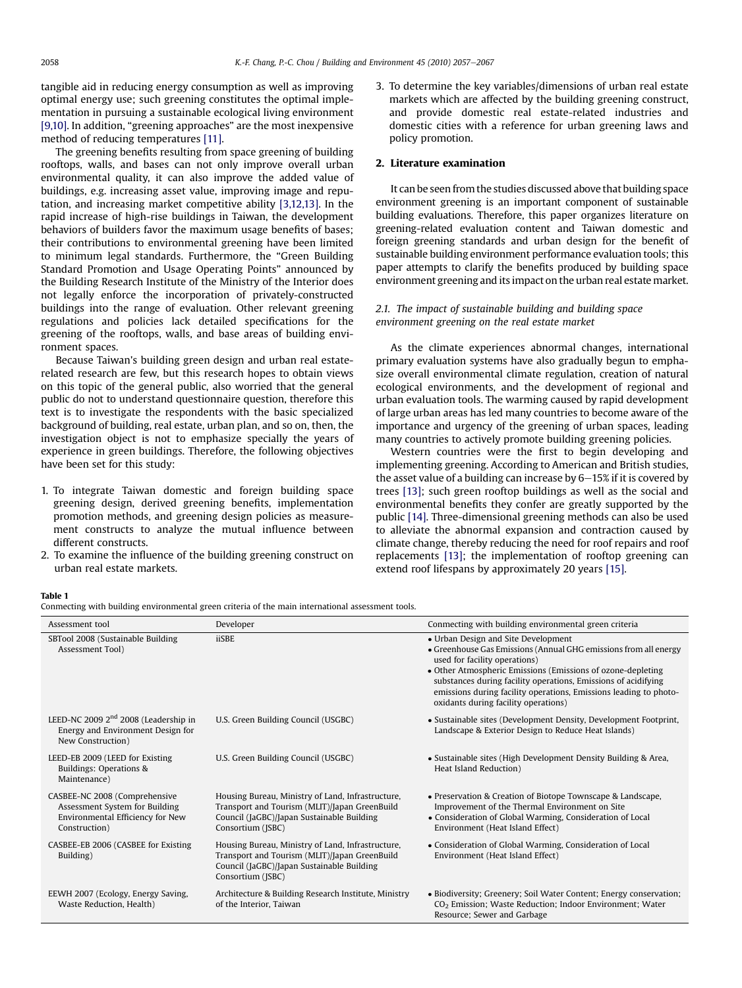tangible aid in reducing energy consumption as well as improving optimal energy use; such greening constitutes the optimal implementation in pursuing a sustainable ecological living environment [\[9,10\].](#page--1-0) In addition, "greening approaches" are the most inexpensive method of reducing temperatures [\[11\].](#page--1-0)

The greening benefits resulting from space greening of building rooftops, walls, and bases can not only improve overall urban environmental quality, it can also improve the added value of buildings, e.g. increasing asset value, improving image and reputation, and increasing market competitive ability [\[3,12,13\].](#page--1-0) In the rapid increase of high-rise buildings in Taiwan, the development behaviors of builders favor the maximum usage benefits of bases; their contributions to environmental greening have been limited to minimum legal standards. Furthermore, the "Green Building Standard Promotion and Usage Operating Points" announced by the Building Research Institute of the Ministry of the Interior does not legally enforce the incorporation of privately-constructed buildings into the range of evaluation. Other relevant greening regulations and policies lack detailed specifications for the greening of the rooftops, walls, and base areas of building environment spaces.

Because Taiwan's building green design and urban real estaterelated research are few, but this research hopes to obtain views on this topic of the general public, also worried that the general public do not to understand questionnaire question, therefore this text is to investigate the respondents with the basic specialized background of building, real estate, urban plan, and so on, then, the investigation object is not to emphasize specially the years of experience in green buildings. Therefore, the following objectives have been set for this study:

- 1. To integrate Taiwan domestic and foreign building space greening design, derived greening benefits, implementation promotion methods, and greening design policies as measurement constructs to analyze the mutual influence between different constructs.
- 2. To examine the influence of the building greening construct on urban real estate markets.

3. To determine the key variables/dimensions of urban real estate markets which are affected by the building greening construct, and provide domestic real estate-related industries and domestic cities with a reference for urban greening laws and policy promotion.

#### 2. Literature examination

It can be seen from the studies discussed above that building space environment greening is an important component of sustainable building evaluations. Therefore, this paper organizes literature on greening-related evaluation content and Taiwan domestic and foreign greening standards and urban design for the benefit of sustainable building environment performance evaluation tools; this paper attempts to clarify the benefits produced by building space environment greening and its impact on the urban real estate market.

#### 2.1. The impact of sustainable building and building space environment greening on the real estate market

As the climate experiences abnormal changes, international primary evaluation systems have also gradually begun to emphasize overall environmental climate regulation, creation of natural ecological environments, and the development of regional and urban evaluation tools. The warming caused by rapid development of large urban areas has led many countries to become aware of the importance and urgency of the greening of urban spaces, leading many countries to actively promote building greening policies.

Western countries were the first to begin developing and implementing greening. According to American and British studies, the asset value of a building can increase by  $6-15%$  if it is covered by trees [\[13\]](#page--1-0); such green rooftop buildings as well as the social and environmental benefits they confer are greatly supported by the public [\[14\]](#page--1-0). Three-dimensional greening methods can also be used to alleviate the abnormal expansion and contraction caused by climate change, thereby reducing the need for roof repairs and roof replacements [\[13\]](#page--1-0); the implementation of rooftop greening can extend roof lifespans by approximately 20 years [\[15\]](#page--1-0).

#### Table 1

Conmecting with building environmental green criteria of the main international assessment tools.

| Assessment tool                                                                                                      | Developer                                                                                                                                                             | Conmecting with building environmental green criteria                                                                                                                                                                                                                                                                                                                                  |
|----------------------------------------------------------------------------------------------------------------------|-----------------------------------------------------------------------------------------------------------------------------------------------------------------------|----------------------------------------------------------------------------------------------------------------------------------------------------------------------------------------------------------------------------------------------------------------------------------------------------------------------------------------------------------------------------------------|
| SBTool 2008 (Sustainable Building<br>Assessment Tool)                                                                | iiSBE                                                                                                                                                                 | • Urban Design and Site Development<br>• Greenhouse Gas Emissions (Annual GHG emissions from all energy<br>used for facility operations)<br>• Other Atmospheric Emissions (Emissions of ozone-depleting<br>substances during facility operations, Emissions of acidifying<br>emissions during facility operations, Emissions leading to photo-<br>oxidants during facility operations) |
| LEED-NC 2009 2 <sup>nd</sup> 2008 (Leadership in<br>Energy and Environment Design for<br>New Construction)           | U.S. Green Building Council (USGBC)                                                                                                                                   | • Sustainable sites (Development Density, Development Footprint,<br>Landscape & Exterior Design to Reduce Heat Islands)                                                                                                                                                                                                                                                                |
| LEED-EB 2009 (LEED for Existing<br>Buildings: Operations &<br>Maintenance)                                           | U.S. Green Building Council (USGBC)                                                                                                                                   | • Sustainable sites (High Development Density Building & Area,<br>Heat Island Reduction)                                                                                                                                                                                                                                                                                               |
| CASBEE-NC 2008 (Comprehensive<br>Assessment System for Building<br>Environmental Efficiency for New<br>Construction) | Housing Bureau, Ministry of Land, Infrastructure,<br>Transport and Tourism (MLIT)/Japan GreenBuild<br>Council (JaGBC)/Japan Sustainable Building<br>Consortium (JSBC) | • Preservation & Creation of Biotope Townscape & Landscape,<br>Improvement of the Thermal Environment on Site<br>• Consideration of Global Warming, Consideration of Local<br>Environment (Heat Island Effect)                                                                                                                                                                         |
| CASBEE-EB 2006 (CASBEE for Existing<br>Building)                                                                     | Housing Bureau, Ministry of Land, Infrastructure,<br>Transport and Tourism (MLIT)/Japan GreenBuild<br>Council (JaGBC)/Japan Sustainable Building<br>Consortium (JSBC) | • Consideration of Global Warming, Consideration of Local<br>Environment (Heat Island Effect)                                                                                                                                                                                                                                                                                          |
| EEWH 2007 (Ecology, Energy Saving,<br>Waste Reduction, Health)                                                       | Architecture & Building Research Institute, Ministry<br>of the Interior, Taiwan                                                                                       | • Biodiversity; Greenery; Soil Water Content; Energy conservation;<br>CO <sub>2</sub> Emission; Waste Reduction; Indoor Environment; Water<br>Resource; Sewer and Garbage                                                                                                                                                                                                              |